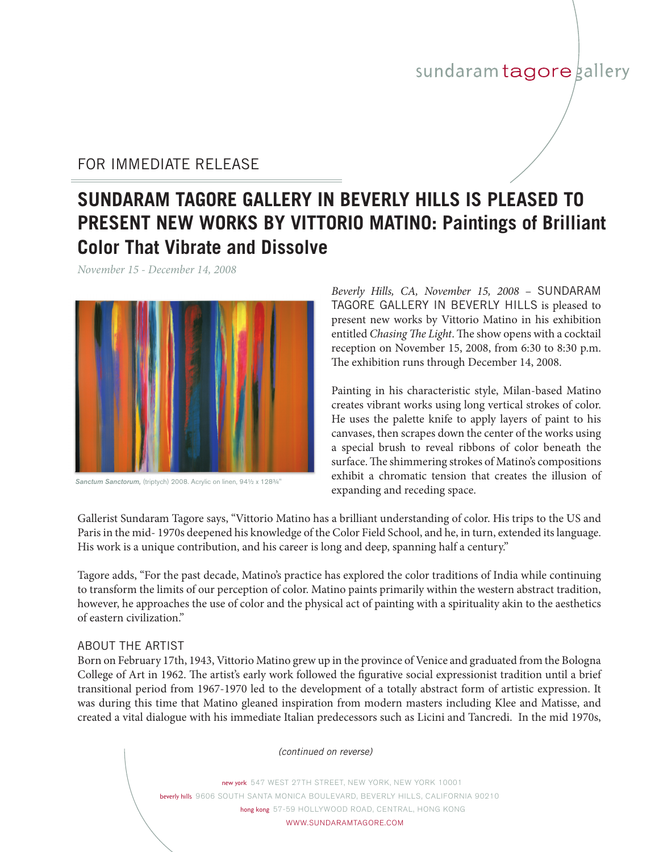## sundaram tagore gallery

### FOR IMMEDIATE RELEASE

# **SUNDARAM TAGORE GALLERY in BEVERLY HILLS is pleased to present new works by vittorio matino: Paintings of Brilliant Color That Vibrate and Dissolve**

*November 15 - December 14, 2008*



*Sanctum Sanctorum,* (triptych) 2008. Acrylic on linen, 94½ x 128¾"

Beverly Hills, CA, November 15, 2008 - SUNDARAM Tagore Gallery in beverly hills is pleased to present new works by Vittorio Matino in his exhibition entitled *Chasing The Light*. The show opens with a cocktail reception on November 15, 2008, from 6:30 to 8:30 p.m. The exhibition runs through December 14, 2008.

Painting in his characteristic style, Milan-based Matino creates vibrant works using long vertical strokes of color. He uses the palette knife to apply layers of paint to his canvases, then scrapes down the center of the works using a special brush to reveal ribbons of color beneath the surface. The shimmering strokes of Matino's compositions exhibit a chromatic tension that creates the illusion of expanding and receding space.

Gallerist Sundaram Tagore says, "Vittorio Matino has a brilliant understanding of color. His trips to the US and Paris in the mid- 1970s deepened his knowledge of the Color Field School, and he, in turn, extended its language. His work is a unique contribution, and his career is long and deep, spanning half a century."

Tagore adds, "For the past decade, Matino's practice has explored the color traditions of India while continuing to transform the limits of our perception of color. Matino paints primarily within the western abstract tradition, however, he approaches the use of color and the physical act of painting with a spirituality akin to the aesthetics of eastern civilization."

#### ABOUT THE ARTIST

Born on February 17th, 1943, Vittorio Matino grew up in the province of Venice and graduated from the Bologna College of Art in 1962. The artist's early work followed the figurative social expressionist tradition until a brief transitional period from 1967-1970 led to the development of a totally abstract form of artistic expression. It was during this time that Matino gleaned inspiration from modern masters including Klee and Matisse, and created a vital dialogue with his immediate Italian predecessors such as Licini and Tancredi. In the mid 1970s,

*(continued on reverse)*

new york 547 WEST 27TH STREET, NEW YORK, NEW YORK 10001 beverly hills 9606 South Santa Monica BOULEVARD, Beverly Hills, CALIFORNIA 90210 hong kong 57-59 HOLLYWOOD ROAD, CENTRAL, HONG KONG WWW.SUNDARAMTAGORE.COM